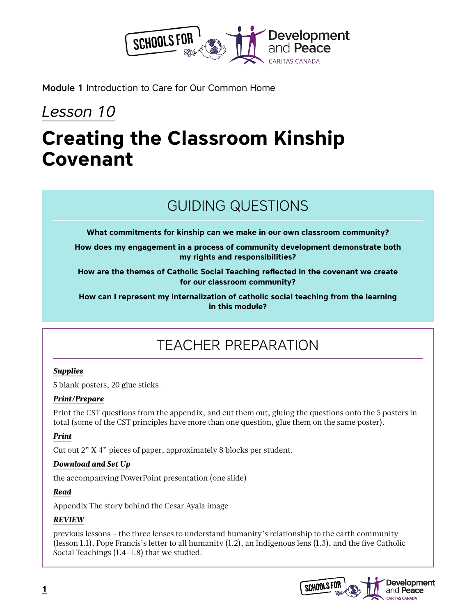

Module 1 Introduction to Care for Our Common Home

## *Lesson 10*

## **Creating the Classroom Kinship Covenant**

## GUIDING QUESTIONS

**What commitments for kinship can we make in our own classroom community?**

**How does my engagement in a process of community development demonstrate both my rights and responsibilities?**

**How are the themes of Catholic Social Teaching reflected in the covenant we create for our classroom community?**

**How can I represent my internalization of catholic social teaching from the learning in this module?**

## TEACHER PREPARATION

#### *Supplies*

5 blank posters, 20 glue sticks.

#### *Print/Prepare*

Print the CST questions from the appendix, and cut them out, gluing the questions onto the 5 posters in total (some of the CST principles have more than one question, glue them on the same poster).

#### *Print*

Cut out 2" X 4" pieces of paper, approximately 8 blocks per student.

#### *Download and Set Up*

the accompanying PowerPoint presentation (one slide)

#### *Read*

Appendix The story behind the Cesar Ayala image

#### *REVIEW*

previous lessons - the three lenses to understand humanity's relationship to the earth community (lesson 1.1), Pope Francis's letter to all humanity (1.2), an Indigenous lens (1.3), and the five Catholic Social Teachings (1.4-1.8) that we studied.

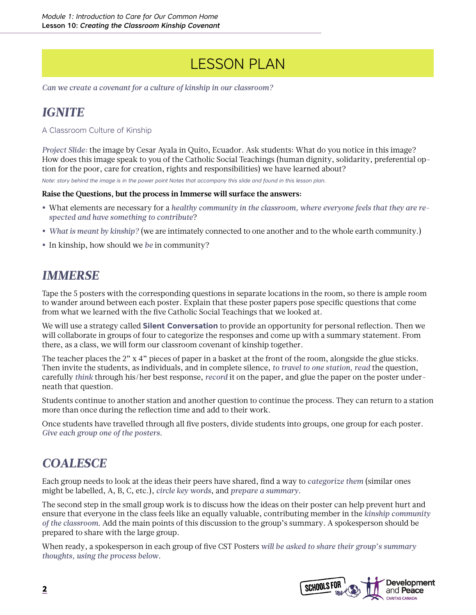## LESSON PLAN

*Can we create a covenant for a culture of kinship in our classroom?* 

### *IGNITE*

#### A Classroom Culture of Kinship

*Project Slide:* the image by Cesar Ayala in Quito, Ecuador. Ask students: What do you notice in this image? How does this image speak to you of the Catholic Social Teachings (human dignity, solidarity, preferential option for the poor, care for creation, rights and responsibilities) we have learned about?

*Note: story behind the image is in the power point Notes that accompany this slide and found in this lesson plan.*

#### **Raise the Questions, but the process in Immerse will surface the answers:**

- **•** What elements are necessary for a *healthy community in the classroom, where everyone feels that they are respected and have something to contribute*?
- **•** *What is meant by kinship?* (we are intimately connected to one another and to the whole earth community.)
- **•** In kinship, how should we *be* in community?

### *IMMERSE*

Tape the 5 posters with the corresponding questions in separate locations in the room, so there is ample room to wander around between each poster. Explain that these poster papers pose specific questions that come from what we learned with the five Catholic Social Teachings that we looked at.

We will use a strategy called **Silent Conversation** to provide an opportunity for personal reflection. Then we will collaborate in groups of four to categorize the responses and come up with a summary statement. From there, as a class, we will form our classroom covenant of kinship together.

The teacher places the 2" x 4" pieces of paper in a basket at the front of the room, alongside the glue sticks. Then invite the students, as individuals, and in complete silence, *to travel to one station, read* the question, carefully *think* through his/her best response, *record* it on the paper, and glue the paper on the poster underneath that question.

Students continue to another station and another question to continue the process. They can return to a station more than once during the reflection time and add to their work.

Once students have travelled through all five posters, divide students into groups, one group for each poster. *Give each group one of the posters*.

### *COALESCE*

Each group needs to look at the ideas their peers have shared, find a way to *categorize them* (similar ones might be labelled, A, B, C, etc.), *circle key words*, and *prepare a summary*.

The second step in the small group work is to discuss how the ideas on their poster can help prevent hurt and ensure that everyone in the class feels like an equally valuable, contributing member in the *kinship community of the classroom*. Add the main points of this discussion to the group's summary. A spokesperson should be prepared to share with the large group.

When ready, a spokesperson in each group of five CST Posters *will be asked to share their group's summary thoughts, using the process below*.

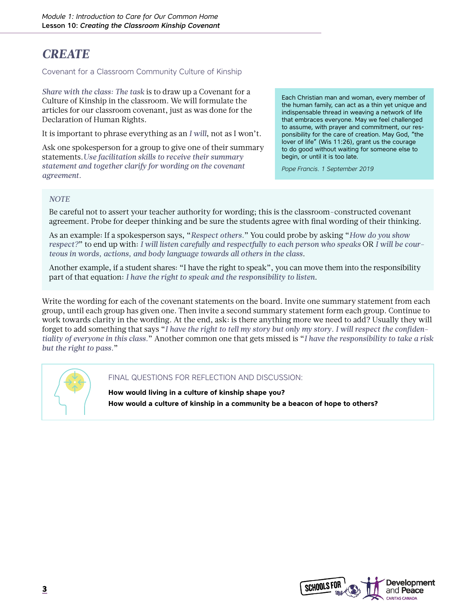### *CREATE*

Covenant for a Classroom Community Culture of Kinship

*Share with the class: The task* is to draw up a Covenant for a Culture of Kinship in the classroom. We will formulate the articles for our classroom covenant, just as was done for the Declaration of Human Rights.

It is important to phrase everything as an *I will*, not as I won't.

Ask one spokesperson for a group to give one of their summary statements.*Use facilitation skills to receive their summary statement and together clarify for wording on the covenant agreement.* 

Each Christian man and woman, every member of the human family, can act as a thin yet unique and indispensable thread in weaving a network of life that embraces everyone. May we feel challenged to assume, with prayer and commitment, our responsibility for the care of creation. May God, "the lover of life" (Wis 11:26), grant us the courage to do good without waiting for someone else to begin, or until it is too late.

*Pope Francis. 1 September 2019*

#### *NOTE*

Be careful not to assert your teacher authority for wording; this is the classroom-constructed covenant agreement. Probe for deeper thinking and be sure the students agree with final wording of their thinking.

As an example: If a spokesperson says, "*Respect others.*" You could probe by asking "*How do you show respect?*" to end up with: *I will listen carefully and respectfully to each person who speaks* OR *I will be courteous in words, actions, and body language towards all others in the class*.

Another example, if a student shares: "I have the right to speak", you can move them into the responsibility part of that equation: *I have the right to speak and the responsibility to listen*.

Write the wording for each of the covenant statements on the board. Invite one summary statement from each group, until each group has given one. Then invite a second summary statement form each group. Continue to work towards clarity in the wording. At the end, ask: is there anything more we need to add? Usually they will forget to add something that says "*I have the right to tell my story but only my story. I will respect the confidentiality of everyone in this class.*" Another common one that gets missed is "*I have the responsibility to take a risk but the right to pass.*"



FINAL QUESTIONS FOR REFLECTION AND DISCUSSION:

**How would living in a culture of kinship shape you? How would a culture of kinship in a community be a beacon of hope to others?**

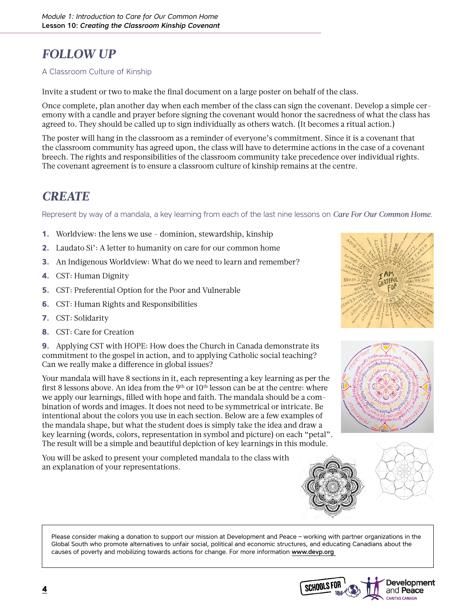## *FOLLOW UP*

#### A Classroom Culture of Kinship

Invite a student or two to make the final document on a large poster on behalf of the class.

Once complete, plan another day when each member of the class can sign the covenant. Develop a simple ceremony with a candle and prayer before signing the covenant would honor the sacredness of what the class has agreed to. They should be called up to sign individually as others watch. (It becomes a ritual action.)

The poster will hang in the classroom as a reminder of everyone's commitment. Since it is a covenant that the classroom community has agreed upon, the class will have to determine actions in the case of a covenant breech. The rights and responsibilities of the classroom community take precedence over individual rights. The covenant agreement is to ensure a classroom culture of kinship remains at the centre.

### *CREATE*

Represent by way of a mandala, a key learning from each of the last nine lessons on *Care For Our Common Home*.

- **1.** Worldview: the lens we use dominion, stewardship, kinship
- **2.** Laudato Si': A letter to humanity on care for our common home
- **3.** An Indigenous Worldview: What do we need to learn and remember?
- **4.** CST: Human Dignity
- **5.** CST: Preferential Option for the Poor and Vulnerable
- **6.** CST: Human Rights and Responsibilities
- **7.** CST: Solidarity
- **8.** CST: Care for Creation

**9.** Applying CST with HOPE: How does the Church in Canada demonstrate its commitment to the gospel in action, and to applying Catholic social teaching? Can we really make a difference in global issues?

Your mandala will have 8 sections in it, each representing a key learning as per the first 8 lessons above. An idea from the  $9<sup>th</sup>$  or  $10<sup>th</sup>$  lesson can be at the centre: where we apply our learnings, filled with hope and faith. The mandala should be a combination of words and images. It does not need to be symmetrical or intricate. Be intentional about the colors you use in each section. Below are a few examples of the mandala shape, but what the student does is simply take the idea and draw a key learning (words, colors, representation in symbol and picture) on each "petal". The result will be a simple and beautiful depiction of key learnings in this module.

You will be asked to present your completed mandala to the class with an explanation of your representations.









Please consider making a donation to support our mission at Development and Peace – working with partner organizations in the Global South who promote alternatives to unfair social, political and economic structures, and educating Canadians about the causes of poverty and mobilizing towards actions for change. For more information [www.devp.org](http://www.devp.org ) 

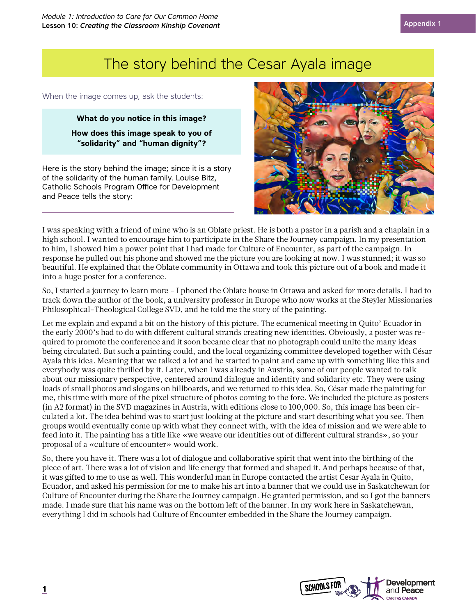## The story behind the Cesar Ayala image

When the image comes up, ask the students:

**What do you notice in this image? How does this image speak to you of "solidarity" and "human dignity"?**

Here is the story behind the image; since it is a story of the solidarity of the human family. Louise Bitz, Catholic Schools Program Office for Development and Peace tells the story:



I was speaking with a friend of mine who is an Oblate priest. He is both a pastor in a parish and a chaplain in a high school. I wanted to encourage him to participate in the Share the Journey campaign. In my presentation to him, I showed him a power point that I had made for Culture of Encounter, as part of the campaign. In response he pulled out his phone and showed me the picture you are looking at now. I was stunned; it was so beautiful. He explained that the Oblate community in Ottawa and took this picture out of a book and made it into a huge poster for a conference.

So, I started a journey to learn more - I phoned the Oblate house in Ottawa and asked for more details. I had to track down the author of the book, a university professor in Europe who now works at the Steyler Missionaries Philosophical-Theological College SVD, and he told me the story of the painting.

Let me explain and expand a bit on the history of this picture. The ecumenical meeting in Quito' Ecuador in the early 2000's had to do with different cultural strands creating new identities. Obviously, a poster was required to promote the conference and it soon became clear that no photograph could unite the many ideas being circulated. But such a painting could, and the local organizing committee developed together with César Ayala this idea. Meaning that we talked a lot and he started to paint and came up with something like this and everybody was quite thrilled by it. Later, when I was already in Austria, some of our people wanted to talk about our missionary perspective, centered around dialogue and identity and solidarity etc. They were using loads of small photos and slogans on billboards, and we returned to this idea. So, César made the painting for me, this time with more of the pixel structure of photos coming to the fore. We included the picture as posters (in A2 format) in the SVD magazines in Austria, with editions close to 100,000. So, this image has been circulated a lot. The idea behind was to start just looking at the picture and start describing what you see. Then groups would eventually come up with what they connect with, with the idea of mission and we were able to feed into it. The painting has a title like «we weave our identities out of different cultural strands», so your proposal of a «culture of encounter» would work.

So, there you have it. There was a lot of dialogue and collaborative spirit that went into the birthing of the piece of art. There was a lot of vision and life energy that formed and shaped it. And perhaps because of that, it was gifted to me to use as well. This wonderful man in Europe contacted the artist Cesar Ayala in Quito, Ecuador, and asked his permission for me to make his art into a banner that we could use in Saskatchewan for Culture of Encounter during the Share the Journey campaign. He granted permission, and so I got the banners made. I made sure that his name was on the bottom left of the banner. In my work here in Saskatchewan, everything I did in schools had Culture of Encounter embedded in the Share the Journey campaign.

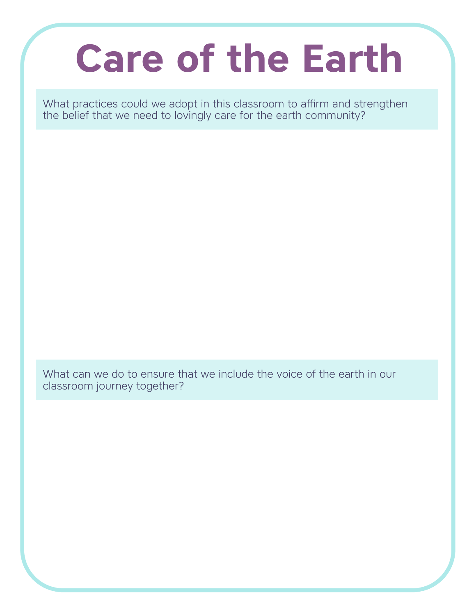# **Care of the Earth**

What practices could we adopt in this classroom to affirm and strengthen the belief that we need to lovingly care for the earth community?

What can we do to ensure that we include the voice of the earth in our classroom journey together?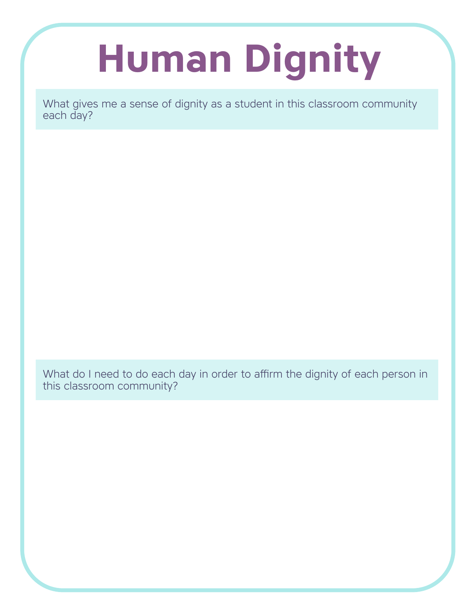# **Human Dignity**

What gives me a sense of dignity as a student in this classroom community each day?

What do I need to do each day in order to affirm the dignity of each person in this classroom community?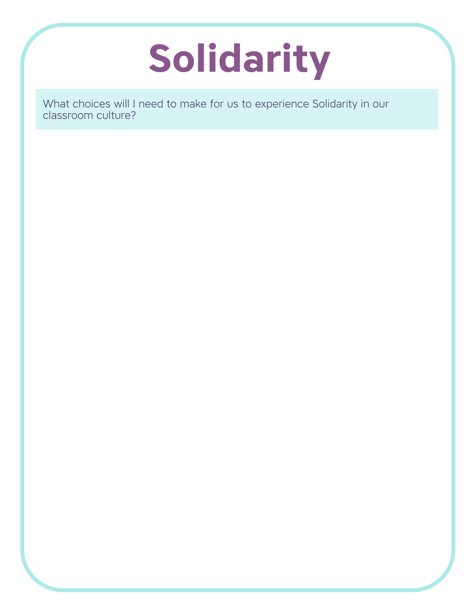## **Solidarity**

What choices will I need to make for us to experience Solidarity in our classroom culture?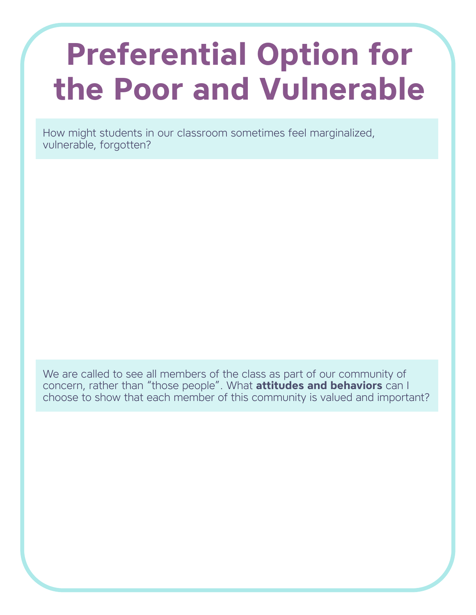## **Preferential Option for the Poor and Vulnerable**

How might students in our classroom sometimes feel marginalized, vulnerable, forgotten?

We are called to see all members of the class as part of our community of concern, rather than "those people". What **attitudes and behaviors** can I choose to show that each member of this community is valued and important?